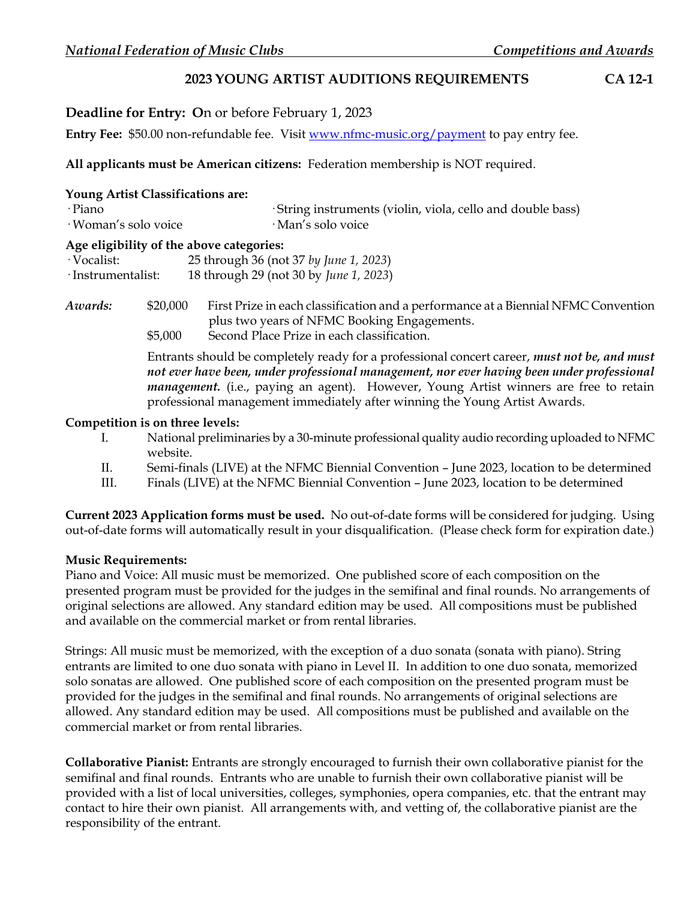## **2023 YOUNG ARTIST AUDITIONS REQUIREMENTS CA 12-1**

**Deadline for Entry: O**n or before February 1, 2023

Entry Fee: \$50.00 non-refundable fee. Visit [www.nfmc-music.org/payment](http://www.nfmc-music.org/payment) to pay entry fee.

### **All applicants must be American citizens:** Federation membership is NOT required.

| Young Artist Classifications are:<br>∙Piano<br>· Woman's solo voice |          | ·String instruments (violin, viola, cello and double bass)<br>· Man's solo voice                                                  |
|---------------------------------------------------------------------|----------|-----------------------------------------------------------------------------------------------------------------------------------|
|                                                                     |          | Age eligibility of the above categories:                                                                                          |
| · Vocalist:                                                         |          | 25 through 36 (not 37 by June 1, 2023)                                                                                            |
| ·Instrumentalist:                                                   |          | 18 through 29 (not 30 by June 1, 2023)                                                                                            |
| Awards:                                                             | \$20,000 | First Prize in each classification and a performance at a Biennial NFMC Convention<br>plus two years of NFMC Booking Engagements. |

\$5,000 Second Place Prize in each classification.

Entrants should be completely ready for a professional concert career, *must not be, and must not ever have been, under professional management, nor ever having been under professional management.* (i.e., paying an agent). However, Young Artist winners are free to retain professional management immediately after winning the Young Artist Awards.

#### **Competition is on three levels:**

- I. National preliminaries by a 30-minute professional quality audio recording uploaded to NFMC website.
- II. Semi-finals (LIVE) at the NFMC Biennial Convention June 2023, location to be determined
- III. Finals (LIVE) at the NFMC Biennial Convention June 2023, location to be determined

**Current 2023 Application forms must be used.** No out-of-date forms will be considered for judging. Using out-of-date forms will automatically result in your disqualification. (Please check form for expiration date.)

### **Music Requirements:**

Piano and Voice: All music must be memorized. One published score of each composition on the presented program must be provided for the judges in the semifinal and final rounds. No arrangements of original selections are allowed. Any standard edition may be used. All compositions must be published and available on the commercial market or from rental libraries.

Strings: All music must be memorized, with the exception of a duo sonata (sonata with piano). String entrants are limited to one duo sonata with piano in Level II. In addition to one duo sonata, memorized solo sonatas are allowed. One published score of each composition on the presented program must be provided for the judges in the semifinal and final rounds. No arrangements of original selections are allowed. Any standard edition may be used. All compositions must be published and available on the commercial market or from rental libraries.

**Collaborative Pianist:** Entrants are strongly encouraged to furnish their own collaborative pianist for the semifinal and final rounds. Entrants who are unable to furnish their own collaborative pianist will be provided with a list of local universities, colleges, symphonies, opera companies, etc. that the entrant may contact to hire their own pianist. All arrangements with, and vetting of, the collaborative pianist are the responsibility of the entrant.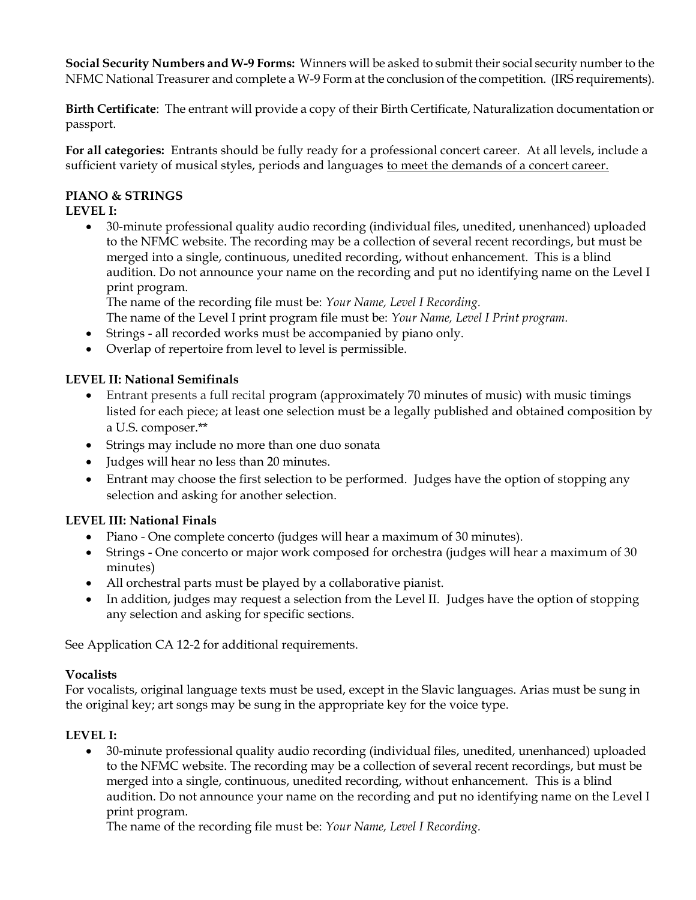**Social Security Numbers and W-9 Forms:** Winners will be asked to submit their social security number to the NFMC National Treasurer and complete a W-9 Form at the conclusion of the competition. (IRS requirements).

**Birth Certificate**: The entrant will provide a copy of their Birth Certificate, Naturalization documentation or passport.

**For all categories:** Entrants should be fully ready for a professional concert career. At all levels, include a sufficient variety of musical styles, periods and languages to meet the demands of a concert career.

# **PIANO & STRINGS**

# **LEVEL I:**

 30-minute professional quality audio recording (individual files, unedited, unenhanced) uploaded to the NFMC website. The recording may be a collection of several recent recordings, but must be merged into a single, continuous, unedited recording, without enhancement. This is a blind audition. Do not announce your name on the recording and put no identifying name on the Level I print program.

The name of the recording file must be: *Your Name, Level I Recording.* 

- The name of the Level I print program file must be: *Your Name, Level I Print program.*
- Strings all recorded works must be accompanied by piano only.
- Overlap of repertoire from level to level is permissible.

# **LEVEL II: National Semifinals**

- Entrant presents a full recital program (approximately 70 minutes of music) with music timings listed for each piece; at least one selection must be a legally published and obtained composition by a U.S. composer.\*\*
- Strings may include no more than one duo sonata
- Judges will hear no less than 20 minutes.
- Entrant may choose the first selection to be performed. Judges have the option of stopping any selection and asking for another selection.

# **LEVEL III: National Finals**

- Piano One complete concerto (judges will hear a maximum of 30 minutes).
- Strings One concerto or major work composed for orchestra (judges will hear a maximum of 30 minutes)
- All orchestral parts must be played by a collaborative pianist.
- In addition, judges may request a selection from the Level II. Judges have the option of stopping any selection and asking for specific sections.

See Application CA 12-2 for additional requirements.

# **Vocalists**

For vocalists, original language texts must be used, except in the Slavic languages. Arias must be sung in the original key; art songs may be sung in the appropriate key for the voice type.

# **LEVEL I:**

 30-minute professional quality audio recording (individual files, unedited, unenhanced) uploaded to the NFMC website. The recording may be a collection of several recent recordings, but must be merged into a single, continuous, unedited recording, without enhancement. This is a blind audition. Do not announce your name on the recording and put no identifying name on the Level I print program.

The name of the recording file must be: *Your Name, Level I Recording.*